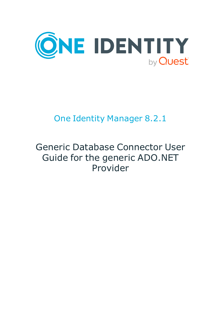

# One Identity Manager 8.2.1

# Generic Database Connector User Guide for the generic ADO.NET Provider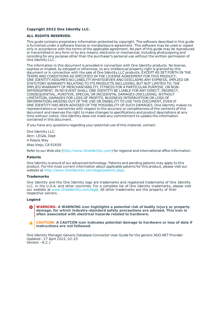#### **Copyright 2022 One Identity LLC.**

#### **ALL RIGHTS RESERVED.**

This guide contains proprietary information protected by copyright. The software described in this guide is furnished under a software license or nondisclosure agreement. This software may be used or copied only in accordance with the terms of the applicable agreement. No part of this guide may be reproduced or transmitted in any form or by any means, electronic or mechanical, including photocopying and recording for any purpose other than the purchaser's personal use without the written permission of One Identity LLC .

The information in this document is provided in connection with One Identity products. No license, express or implied, by estoppel or otherwise, to any intellectual property right is granted by this document or in connection with the sale of One Identity LLC products. EXCEPT AS SET FORTH IN THE TERMS AND CONDITIONS AS SPECIFIED IN THE LICENSE AGREEMENT FOR THIS PRODUCT, ONE IDENTITY ASSUMES NO LIABILITY WHATSOEVER AND DISCLAIMS ANY EXPRESS, IMPLIED OR STATUTORY WARRANTY RELATING TO ITS PRODUCTS INCLUDING, BUT NOT LIMITED TO, THE IMPLIED WARRANTY OF MERCHANTABILITY, FITNESS FOR A PARTICULAR PURPOSE, OR NON-INFRINGEMENT. IN NO EVENT SHALL ONE IDENTITY BE LIABLE FOR ANY DIRECT, INDIRECT, CONSEQUENTIAL, PUNITIVE, SPECIAL OR INCIDENTAL DAMAGES (INCLUDING, WITHOUT LIMITATION, DAMAGES FOR LOSS OF PROFITS, BUSINESS INTERRUPTION OR LOSS OF INFORMATION) ARISING OUT OF THE USE OR INABILITY TO USE THIS DOCUMENT, EVEN IF ONE IDENTITY HAS BEEN ADVISED OF THE POSSIBILITY OF SUCH DAMAGES. One Identity makes no representations or warranties with respect to the accuracy or completeness of the contents of this document and reserves the right to make changes to specifications and product descriptions at any time without notice. One Identity does not make any commitment to update the information contained in this document.

If you have any questions regarding your potential use of this material, contact:

One Identity LLC. Attn: LEGAL Dept 4 Polaris Way Aliso Viejo, CA 92656

Refer to our Web site ([http://www.OneIdentity.com](http://www.oneidentity.com/)) for regional and international office information.

#### **Patents**

One Identity is proud of our advanced technology. Patents and pending patents may apply to this product. For the most current information about applicable patents for this product, please visit our website at [http://www.OneIdentity.com/legal/patents.aspx](http://www.oneidentity.com/legal/patents.aspx).

#### **Trademarks**

One Identity and the One Identity logo are trademarks and registered trademarks of One Identity LLC. in the U.S.A. and other countries. For a complete list of One Identity trademarks, please visit our website at [www.OneIdentity.com/legal](http://www.oneidentity.com/legal). All other trademarks are the property of their respective owners.

#### **Legend**

- **WARNING: A WARNING icon highlights a potential risk of bodily injury or property damage, for which industry-standard safety precautions are advised. This icon is often associated with electrical hazards related to hardware.**
- **CAUTION: A CAUTION icon indicates potential damage to hardware or loss of data if** A **instructions are not followed.**

One Identity Manager Generic Database Connector User Guide for the generic ADO.NET Provider Updated - 27 April 2022, 02:25 Version - 8.2.1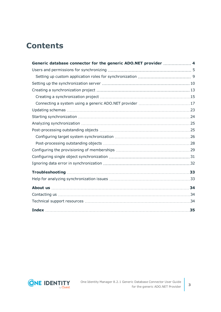## **Contents**

| Generic database connector for the generic ADO.NET provider  4 |  |
|----------------------------------------------------------------|--|
|                                                                |  |
|                                                                |  |
|                                                                |  |
|                                                                |  |
|                                                                |  |
|                                                                |  |
|                                                                |  |
|                                                                |  |
|                                                                |  |
|                                                                |  |
|                                                                |  |
|                                                                |  |
|                                                                |  |
|                                                                |  |
|                                                                |  |
|                                                                |  |
|                                                                |  |
|                                                                |  |
|                                                                |  |
|                                                                |  |
|                                                                |  |

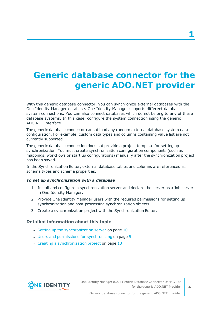# <span id="page-3-0"></span>**Generic database connector for the generic ADO.NET provider**

With this generic database connector, you can synchronize external databases with the One Identity Manager database. One Identity Manager supports different database system connections. You can also connect databases which do not belong to any of these database systems. In this case, configure the system connection using the generic ADO.NET interface.

The generic database connector cannot load any random external database system data configuration. For example, custom data types and columns containing value list are not currently supported.

The generic database connection does not provide a project template for setting up synchronization. You must create synchronization configuration components (such as mappings, workflows or start up configurations) manually after the synchronization project has been saved.

In the Synchronization Editor, external database tables and columns are referenced as schema types and schema properties.

#### *To set up synchronization with a database*

- 1. Install and configure a synchronization server and declare the server as a Job server in One Identity Manager.
- 2. Provide One Identity Manager users with the required permissions for setting up synchronization and post-processing synchronization objects.
- 3. Create a synchronization project with the Synchronization Editor.

#### **Detailed information about this topic**

- $\cdot$  Setting up the [synchronization](#page-9-0) server on page 10
- Users and permissions for [synchronizing](#page-4-0) on page 5
- $\cdot$  Creating a [synchronization](#page-12-0) project on page 13

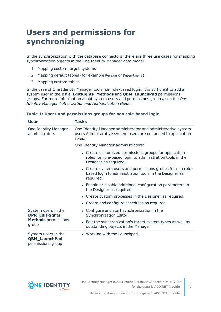## <span id="page-4-0"></span>**Users and permissions for synchronizing**

In the synchronization with the database connectors, there are three use cases for mapping synchronization objects in the One Identity Manager data model.

- 1. Mapping custom target systems
- 2. Mapping default tables (for example Person or Department)
- 3. Mapping custom tables

In the case of One Identity Manager tools non role-based login, it is sufficient to add a system user in the **DPR\_EditRights\_Methods** and **QBM\_LaunchPad** permissions groups. For more information about system users and permissions groups, see the *One Identity Manager Authorization and Authentication Guide*.

| User                                                             | Tasks                                                                                                                                        |  |  |  |
|------------------------------------------------------------------|----------------------------------------------------------------------------------------------------------------------------------------------|--|--|--|
| One Identity Manager<br>administrators                           | One Identity Manager administrator and administrative system<br>users Administrative system users are not added to application<br>roles.     |  |  |  |
|                                                                  | One Identity Manager administrators:                                                                                                         |  |  |  |
|                                                                  | • Create customized permissions groups for application<br>roles for role-based login to administration tools in the<br>Designer as required. |  |  |  |
|                                                                  | • Create system users and permissions groups for non role-<br>based login to administration tools in the Designer as<br>required.            |  |  |  |
|                                                                  | • Enable or disable additional configuration parameters in<br>the Designer as required.                                                      |  |  |  |
|                                                                  | • Create custom processes in the Designer as required.                                                                                       |  |  |  |
|                                                                  | • Create and configure schedules as required.                                                                                                |  |  |  |
| System users in the<br>DPR_EditRights_                           | • Configure and start synchronization in the<br>Synchronization Editor.                                                                      |  |  |  |
| <b>Methods</b> permissions<br>group                              | • Edit the synchronization's target system types as well as<br>outstanding objects in the Manager.                                           |  |  |  |
| System users in the<br><b>QBM_LaunchPad</b><br>permissions group | • Working with the Launchpad.                                                                                                                |  |  |  |

#### **Table 1: Users and permissions groups for non role-based login**

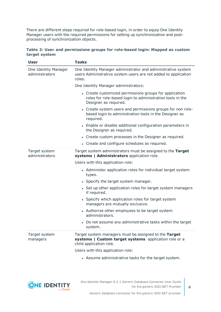There are different steps required for role-based login, in order to equip One Identity Manager users with the required permissions for setting up synchronization and postprocessing of synchronization objects.

|               | Table 2: User and permissions groups for role-based login: Mapped as custom |  |  |  |
|---------------|-----------------------------------------------------------------------------|--|--|--|
| target system |                                                                             |  |  |  |

| <b>User</b>                            | <b>Tasks</b>                                                                                                                                 |  |  |  |
|----------------------------------------|----------------------------------------------------------------------------------------------------------------------------------------------|--|--|--|
| One Identity Manager<br>administrators | One Identity Manager administrator and administrative system<br>users Administrative system users are not added to application<br>roles.     |  |  |  |
|                                        | One Identity Manager administrators:                                                                                                         |  |  |  |
|                                        | • Create customized permissions groups for application<br>roles for role-based login to administration tools in the<br>Designer as required. |  |  |  |
|                                        | • Create system users and permissions groups for non role-<br>based login to administration tools in the Designer as<br>required.            |  |  |  |
|                                        | • Enable or disable additional configuration parameters in<br>the Designer as required.                                                      |  |  |  |
|                                        | • Create custom processes in the Designer as required.                                                                                       |  |  |  |
|                                        | • Create and configure schedules as required.                                                                                                |  |  |  |
| Target system<br>administrators        | Target system administrators must be assigned to the Target<br>systems   Administrators application role.                                    |  |  |  |
|                                        | Users with this application role:                                                                                                            |  |  |  |
|                                        | • Administer application roles for individual target system<br>types.                                                                        |  |  |  |
|                                        | • Specify the target system manager.                                                                                                         |  |  |  |
|                                        | • Set up other application roles for target system managers<br>if required.                                                                  |  |  |  |
|                                        | • Specify which application roles for target system<br>managers are mutually exclusive.                                                      |  |  |  |
|                                        | • Authorize other employees to be target system<br>administrators.                                                                           |  |  |  |
|                                        | • Do not assume any administrative tasks within the target<br>system.                                                                        |  |  |  |
| Target system<br>managers              | Target system managers must be assigned to the Target<br>systems   Custom target systems application role or a<br>child application role.    |  |  |  |
|                                        | Users with this application role:                                                                                                            |  |  |  |
|                                        | • Assume administrative tasks for the target system.                                                                                         |  |  |  |



**6**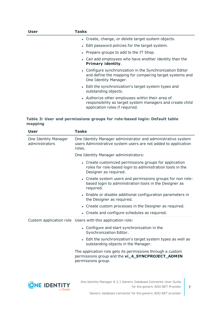| User | Tasks                                                                                                                                           |
|------|-------------------------------------------------------------------------------------------------------------------------------------------------|
|      | • Create, change, or delete target system objects.                                                                                              |
|      | • Edit password policies for the target system.                                                                                                 |
|      | • Prepare groups to add to the IT Shop.                                                                                                         |
|      | • Can add employees who have another identity than the<br><b>Primary identity.</b>                                                              |
|      | • Configure synchronization in the Synchronization Editor<br>and define the mapping for comparing target systems and<br>One Identity Manager.   |
|      | • Edit the synchronization's target system types and<br>outstanding objects.                                                                    |
|      | • Authorize other employees within their area of<br>responsibility as target system managers and create child<br>application roles if required. |

#### **Table 3: User and permissions groups for role-based login: Default table mapping**

| <b>User</b>                            | <b>Tasks</b>                                                                                                                                 |
|----------------------------------------|----------------------------------------------------------------------------------------------------------------------------------------------|
| One Identity Manager<br>administrators | One Identity Manager administrator and administrative system<br>users Administrative system users are not added to application<br>roles.     |
|                                        | One Identity Manager administrators:                                                                                                         |
|                                        | • Create customized permissions groups for application<br>roles for role-based login to administration tools in the<br>Designer as required. |
|                                        | • Create system users and permissions groups for non role-<br>based login to administration tools in the Designer as<br>required.            |
|                                        | • Enable or disable additional configuration parameters in<br>the Designer as required.                                                      |
|                                        | • Create custom processes in the Designer as required.                                                                                       |
|                                        | • Create and configure schedules as required.                                                                                                |
|                                        | Custom application role Users with this application role:                                                                                    |
|                                        | • Configure and start synchronization in the<br>Synchronization Editor.                                                                      |
|                                        | • Edit the synchronization's target system types as well as<br>outstanding objects in the Manager.                                           |
|                                        | The application role gets its permissions through a custom<br>permissions group and the vi_4_SYNCPROJECT_ADMIN<br>permissions group.         |
|                                        |                                                                                                                                              |
|                                        |                                                                                                                                              |

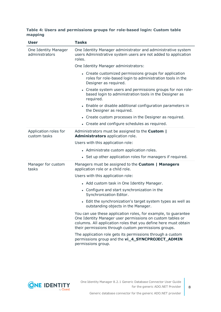#### **Table 4: Users and permissions groups for role-based login: Custom table mapping**

| <b>User</b>                            | <b>Tasks</b>                                                                                                                                                                                                                                           |  |
|----------------------------------------|--------------------------------------------------------------------------------------------------------------------------------------------------------------------------------------------------------------------------------------------------------|--|
| One Identity Manager<br>administrators | One Identity Manager administrator and administrative system<br>users Administrative system users are not added to application<br>roles.                                                                                                               |  |
|                                        | One Identity Manager administrators:                                                                                                                                                                                                                   |  |
|                                        | • Create customized permissions groups for application<br>roles for role-based login to administration tools in the<br>Designer as required.                                                                                                           |  |
|                                        | • Create system users and permissions groups for non role-<br>based login to administration tools in the Designer as<br>required.                                                                                                                      |  |
|                                        | • Enable or disable additional configuration parameters in<br>the Designer as required.                                                                                                                                                                |  |
|                                        | • Create custom processes in the Designer as required.                                                                                                                                                                                                 |  |
|                                        | • Create and configure schedules as required.                                                                                                                                                                                                          |  |
| Application roles for<br>custom tasks  | Administrators must be assigned to the <b>Custom</b>  <br>Administrators application role.                                                                                                                                                             |  |
|                                        | Users with this application role:                                                                                                                                                                                                                      |  |
|                                        | • Administrate custom application roles.                                                                                                                                                                                                               |  |
|                                        | • Set up other application roles for managers if required.                                                                                                                                                                                             |  |
| Manager for custom<br>tasks            | Managers must be assigned to the Custom   Managers<br>application role or a child role.                                                                                                                                                                |  |
|                                        | Users with this application role:                                                                                                                                                                                                                      |  |
|                                        | • Add custom task in One Identity Manager.                                                                                                                                                                                                             |  |
|                                        | • Configure and start synchronization in the<br>Synchronization Editor.                                                                                                                                                                                |  |
|                                        | • Edit the synchronization's target system types as well as<br>outstanding objects in the Manager.                                                                                                                                                     |  |
|                                        | You can use these application roles, for example, to guarantee<br>One Identity Manager user permissions on custom tables or<br>columns. All application roles that you define here must obtain<br>their permissions through custom permissions groups. |  |
|                                        | The application role gets its permissions through a custom<br>permissions group and the vi_4_SYNCPROJECT_ADMIN<br>permissions group.                                                                                                                   |  |

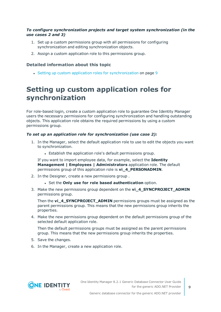#### *To configure synchronization projects and target system synchronization (in the use cases 2 and 3)*

- 1. Set up a custom permissions group with all permissions for configuring synchronization and editing synchronization objects.
- 2. Assign a custom application role to this permissions group.

#### **Detailed information about this topic**

• Setting up custom application roles for [synchronization](#page-8-0) on page 9

### <span id="page-8-0"></span>**Setting up custom application roles for synchronization**

For role-based login, create a custom application role to guarantee One Identity Manager users the necessary permissions for configuring synchronization and handling outstanding objects. This application role obtains the required permissions by using a custom permissions group.

#### *To set up an application role for synchronization (use case 2):*

- 1. In the Manager, select the default application role to use to edit the objects you want to synchronization.
	- Establish the application role's default permissions group.

If you want to import employee data, for example, select the **Identity Management | Employees | Administrators** application role. The default permissions group of this application role is **vi\_4\_PERSONADMIN**.

- 2. In the Designer, create a new permissions group .
	- <sup>l</sup> Set the **Only use for role based authentication** option.
- 3. Make the new permissions group dependent on the **vi\_4\_SYNCPROJECT\_ADMIN** permissions group.

Then the **vi\_4\_SYNCPROJECT\_ADMIN** permissions groups must be assigned as the parent permissions group. This means that the new permissions group inherits the properties.

4. Make the new permissions group dependent on the default permissions group of the selected default application role.

Then the default permissions groups must be assigned as the parent permissions group. This means that the new permissions group inherits the properties.

- 5. Save the changes.
- 6. In the Manager, create a new application role.



**9**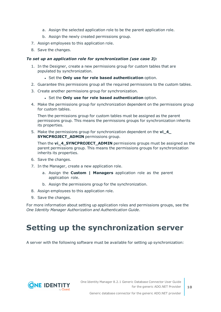- a. Assign the selected application role to be the parent application role.
- b. Assign the newly created permissions group.
- 7. Assign employees to this application role.
- 8. Save the changes.

#### *To set up an application role for synchronization (use case 3):*

- 1. In the Designer, create a new permissions group for custom tables that are populated by synchronization.
	- <sup>l</sup> Set the **Only use for role based authentication** option.
- 2. Guarantee this permissions group all the required permissions to the custom tables.
- 3. Create another permissions group for synchronization.
	- <sup>l</sup> Set the **Only use for role based authentication** option.
- 4. Make the permissions group for synchronization dependent on the permissions group for custom tables.

Then the permissions group for custom tables must be assigned as the parent permissions group. This means the permissions groups for synchronization inherits its properties.

5. Make the permissions group for synchronization dependent on the **vi\_4\_ SYNCPROJECT\_ADMIN** permissions group.

Then the **vi\_4\_SYNCPROJECT\_ADMIN** permissions groups must be assigned as the parent permissions group. This means the permissions groups for synchronization inherits its properties.

- 6. Save the changes.
- 7. In the Manager, create a new application role.
	- a. Assign the **Custom | Managers** application role as the parent application role.
	- b. Assign the permissions group for the synchronization.
- 8. Assign employees to this application role.
- 9. Save the changes.

For more information about setting up application roles and permissions groups, see the *One Identity Manager Authorization and Authentication Guide*.

## <span id="page-9-0"></span>**Setting up the synchronization server**

A server with the following software must be available for setting up synchronization:

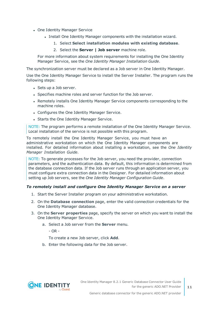- One Identity Manager Service
	- Install One Identity Manager components with the installation wizard.
		- 1. Select **Select installation modules with existing database**.
		- 2. Select the **Server | Job server** machine role.

For more information about system requirements for installing the One Identity Manager Service, see the *One Identity Manager Installation Guide*.

The synchronization server must be declared as a Job server in One Identity Manager.

Use the One Identity Manager Service to install the Server Installer. The program runs the following steps:

- Sets up a Job server.
- Specifies machine roles and server function for the Job server.
- Remotely installs One Identity Manager Service components corresponding to the machine roles.
- Configures the One Identity Manager Service.
- Starts the One Identity Manager Service.

NOTE: The program performs a remote installation of the One Identity Manager Service. Local installation of the service is not possible with this program.

To remotely install the One Identity Manager Service, you must have an administrative workstation on which the One Identity Manager components are installed. For detailed information about installing a workstation, see the *One Identity Manager Installation Guide*.

NOTE: To generate processes for the Job server, you need the provider, connection parameters, and the authentication data. By default, this information is determined from the database connection data. If the Job server runs through an application server, you must configure extra connection data in the Designer. For detailed information about setting up Job servers, see the *One Identity Manager Configuration Guide*.

#### *To remotely install and configure One Identity Manager Service on a server*

- 1. Start the Server Installer program on your administrative workstation.
- 2. On the **Database connection** page, enter the valid connection credentials for the One Identity Manager database.
- 3. On the **Server properties** page, specify the server on which you want to install the One Identity Manager Service.
	- a. Select a Job server from the **Server** menu.

 $- OR -$ 

To create a new Job server, click **Add**.

b. Enter the following data for the Job server.

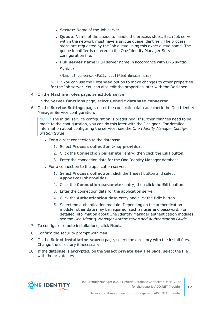- **Server: Name of the Job server.**
- **Queue**: Name of the queue to handle the process steps. Each Job server within the network must have a unique queue identifier. The process steps are requested by the Job queue using this exact queue name. The queue identifier is entered in the One Identity Manager Service configuration file.
- <sup>l</sup> **Full server name**: Full server name in accordance with DNS syntax.

Syntax:

<Name of servers>.<Fully qualified domain name>

NOTE: You can use the **Extended** option to make changes to other properties for the Job server. You can also edit the properties later with the Designer.

- 4. On the **Machine roles** page, select **Job server**.
- 5. On the **Server functions** page, select **Generic database connector**.
- 6. On the **Service Settings** page, enter the connection data and check the One Identity Manager Service configuration.

NOTE: The initial service configuration is predefined. If further changes need to be made to the configuration, you can do this later with the Designer. For detailed information about configuring the service, see the *One Identity Manager Configuration Guide*.

- For a direct connection to the database:
	- 1. Select **Process collection > sqlprovider**.
	- 2. Click the **Connection parameter** entry, then click the **Edit** button.
	- 3. Enter the connection data for the One Identity Manager database.
- For a connection to the application server:
	- 1. Select **Process collection**, click the **Insert** button and select **AppServerJobProvider**.
	- 2. Click the **Connection parameter** entry, then click the **Edit** button.
	- 3. Enter the connection data for the application server.
	- 4. Click the **Authentication data** entry and click the **Edit** button.
	- 5. Select the authentication module. Depending on the authentication module, other data may be required, such as user and password. For detailed information about One Identity Manager authentication modules, see the *One Identity Manager Authorization and Authentication Guide*.
- 7. To configure remote installations, click **Next**.
- 8. Confirm the security prompt with **Yes**.
- 9. On the **Select installation source** page, select the directory with the install files. Change the directory if necessary.
- 10. If the database is encrypted, on the **Select private key file** page, select the file with the private key.

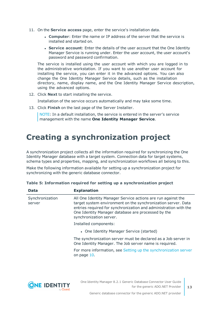- 11. On the **Service access** page, enter the service's installation data.
	- **Computer:** Enter the name or IP address of the server that the service is installed and started on.
	- **. Service account:** Enter the details of the user account that the One Identity Manager Service is running under. Enter the user account, the user account's password and password confirmation.

The service is installed using the user account with which you are logged in to the administrative workstation. If you want to use another user account for installing the service, you can enter it in the advanced options. You can also change the One Identity Manager Service details, such as the installation directory, name, display name, and the One Identity Manager Service description, using the advanced options.

12. Click **Next** to start installing the service.

Installation of the service occurs automatically and may take some time.

13. Click **Finish** on the last page of the Server Installer.

NOTE: In a default installation, the service is entered in the server's service management with the name **One Identity Manager Service**.

## <span id="page-12-0"></span>**Creating a synchronization project**

A synchronization project collects all the information required for synchronizing the One Identity Manager database with a target system. Connection data for target systems, schema types and properties, mapping, and synchronization workflows all belong to this.

Make the following information available for setting up a synchronization project for synchronizing with the generic database connector.

| Data                      | <b>Explanation</b>                                                                                                                                                                                                                                                                 |  |
|---------------------------|------------------------------------------------------------------------------------------------------------------------------------------------------------------------------------------------------------------------------------------------------------------------------------|--|
| Synchronization<br>server | All One Identity Manager Service actions are run against the<br>target system environment on the synchronization server. Data<br>entries required for synchronization and administration with the<br>One Identity Manager database are processed by the<br>synchronization server. |  |
|                           | Installed components:                                                                                                                                                                                                                                                              |  |
|                           | • One Identity Manager Service (started)                                                                                                                                                                                                                                           |  |
|                           | The synchronization server must be declared as a Job server in<br>One Identity Manager. The Job server name is required.                                                                                                                                                           |  |
|                           | For more information, see Setting up the synchronization server<br>on page 10.                                                                                                                                                                                                     |  |
|                           |                                                                                                                                                                                                                                                                                    |  |

|  |  |  | Table 5: Information required for setting up a synchronization project |  |
|--|--|--|------------------------------------------------------------------------|--|
|  |  |  |                                                                        |  |



**13**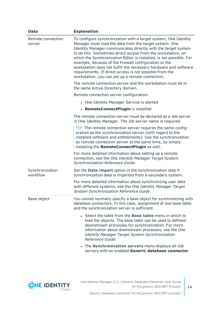| <b>Data</b>                 | <b>Explanation</b>                                                                                                                                                                                                                                                                                                                                                                                                                                                                                                                                                            |
|-----------------------------|-------------------------------------------------------------------------------------------------------------------------------------------------------------------------------------------------------------------------------------------------------------------------------------------------------------------------------------------------------------------------------------------------------------------------------------------------------------------------------------------------------------------------------------------------------------------------------|
| Remote connection<br>server | To configure synchronization with a target system, One Identity<br>Manager must load the data from the target system. One<br>Identity Manager communicates directly with the target system<br>to do this. Sometimes direct access from the workstation, on<br>which the Synchronization Editor is installed, is not possible. For<br>example, because of the firewall configuration or the<br>workstation does not fulfill the necessary hardware and software<br>requirements. If direct access is not possible from the<br>workstation, you can set up a remote connection. |
|                             | The remote connection server and the workstation must be in<br>the same Active Directory domain.                                                                                                                                                                                                                                                                                                                                                                                                                                                                              |
|                             | Remote connection server configuration:                                                                                                                                                                                                                                                                                                                                                                                                                                                                                                                                       |
|                             | • One Identity Manager Service is started                                                                                                                                                                                                                                                                                                                                                                                                                                                                                                                                     |
|                             | • RemoteConnectPlugin is installed                                                                                                                                                                                                                                                                                                                                                                                                                                                                                                                                            |
|                             | The remote connection server must be declared as a Job server<br>in One Identity Manager. The Job server name is required.                                                                                                                                                                                                                                                                                                                                                                                                                                                    |
|                             | TIP: The remote connection server requires the same config-<br>uration as the synchronization server (with regard to the<br>installed software and entitlements). Use the synchronization<br>as remote connection server at the same time, by simply<br>installing the RemoteConnectPlugin as well.                                                                                                                                                                                                                                                                           |
|                             | For more detailed information about setting up a remote<br>connection, see the One Identity Manager Target System<br>Synchronization Reference Guide.                                                                                                                                                                                                                                                                                                                                                                                                                         |
| Synchronization<br>workflow | Set the Data import option in the synchronization step if<br>synchronization data is imported from a secondary system.                                                                                                                                                                                                                                                                                                                                                                                                                                                        |
|                             | For more detailed information about synchronizing user data<br>with different systems, see the One Identity Manager Target<br>System Synchronization Reference Guide.                                                                                                                                                                                                                                                                                                                                                                                                         |
| Base object                 | You cannot normally specify a base object for synchronizing with<br>database connectors. In this case, assignment of one base table<br>and the synchronization server is sufficient.                                                                                                                                                                                                                                                                                                                                                                                          |
|                             | • Select the table from the <b>Base table</b> menu in which to<br>load the objects. The base table can be used to defined<br>downstream processes for synchronization. For more<br>information about downstream processes, see the One<br>Identity Manager Target System Synchronization<br>Reference Guide.                                                                                                                                                                                                                                                                  |
|                             | • The Synchronization servers menu displays all Job<br>servers with an enabled Generic database connector                                                                                                                                                                                                                                                                                                                                                                                                                                                                     |

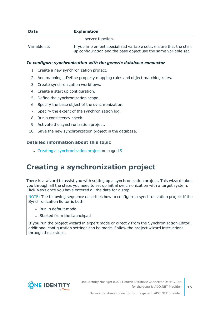| <b>Data</b>  | <b>Explanation</b>                                                                                                                   |
|--------------|--------------------------------------------------------------------------------------------------------------------------------------|
|              | server function.                                                                                                                     |
| Variable set | If you implement specialized variable sets, ensure that the start<br>up configuration and the base object use the same variable set. |

#### *To configure synchronization with the generic database connector*

- 1. Create a new synchronization project.
- 2. Add mappings. Define property mapping rules and object matching rules.
- 3. Create synchronization workflows.
- 4. Create a start up configuration.
- 5. Define the synchronization scope.
- 6. Specify the base object of the synchronization.
- 7. Specify the extent of the synchronization log.
- 8. Run a consistency check.
- 9. Activate the synchronization project.
- 10. Save the new synchronization project in the database.

#### **Detailed information about this topic**

• Creating a [synchronization](#page-14-0) project on page 15

### <span id="page-14-0"></span>**Creating a synchronization project**

There is a wizard to assist you with setting up a synchronization project. This wizard takes you through all the steps you need to set up initial synchronization with a target system. Click **Next** once you have entered all the data for a step.

NOTE: The following sequence describes how to configure a synchronization project if the Synchronization Editor is both:

- . Run in default mode
- Started from the Launchpad

If you run the project wizard in expert mode or directly from the Synchronization Editor, additional configuration settings can be made. Follow the project wizard instructions through these steps.

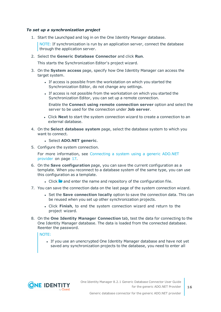#### *To set up a synchronization project*

1. Start the Launchpad and log in on the One Identity Manager database.

NOTE: If synchronization is run by an application server, connect the database through the application server.

2. Select the **Generic Database Connector** and click **Run**.

This starts the Synchronization Editor's project wizard.

- 3. On the **System access** page, specify how One Identity Manager can access the target system.
	- If access is possible from the workstation on which you started the Synchronization Editor, do not change any settings.
	- If access is not possible from the workstation on which you started the Synchronization Editor, you can set up a remote connection.

Enable the **Connect using remote connection server** option and select the server to be used for the connection under **Job server**.

- <sup>l</sup> Click **Next** to start the system connection wizard to create a connection to an external database.
- 4. On the **Select database system** page, select the database system to which you want to connect.
	- <sup>l</sup> Select **ADO.NET generic**.
- 5. Configure the system connection.

For more [information,](#page-16-0) see Connecting a system using a generic ADO.NET [provider](#page-16-0) on page 17.

- 6. On the **Save configuration** page, you can save the current configuration as a template. When you reconnect to a database system of the same type, you can use this configuration as a template.
	- I Click **a** and enter the name and repository of the configuration file.
- 7. You can save the connection data on the last page of the system connection wizard.
	- <sup>l</sup> Set the **Save connection locally** option to save the connection data. This can be reused when you set up other synchronization projects.
	- <sup>l</sup> Click **Finish**, to end the system connection wizard and return to the project wizard.
- 8. On the **One Identity Manager Connection** tab, test the data for connecting to the One Identity Manager database. The data is loaded from the connected database. Reenter the password.

#### NOTE:

• If you use an unencrypted One Identity Manager database and have not yet saved any synchronization projects to the database, you need to enter all



**16**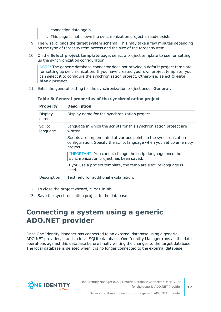connection data again.

- . This page is not shown if a synchronization project already exists.
- 9. The wizard loads the target system schema. This may take a few minutes depending on the type of target system access and the size of the target system.
- 10. On the **Select project template** page, select a project template to use for setting up the synchronization configuration.

NOTE: The generic database connector does not provide a default project template for setting up synchronization. If you have created your own project template, you can select it to configure the synchronization project. Otherwise, select **Create blank project**.

11. Enter the general setting for the synchronization project under **General**.

| <b>Property</b>    | <b>Description</b>                                                                                                                                  |
|--------------------|-----------------------------------------------------------------------------------------------------------------------------------------------------|
| Display<br>name    | Display name for the synchronization project.                                                                                                       |
| Script<br>language | Language in which the scripts for this synchronization project are<br>written.                                                                      |
|                    | Scripts are implemented at various points in the synchronization<br>configuration. Specify the script language when you set up an empty<br>project. |
|                    | IMPORTANT: You cannot change the script language once the<br>synchronization project has been saved.                                                |
|                    | If you use a project template, the template's script language is<br>used.                                                                           |
| Description        | Text field for additional explanation.                                                                                                              |

**Table 6: General properties of the synchronization project**

- 12. To close the project wizard, click **Finish**.
- <span id="page-16-0"></span>13. Save the synchronization project in the database.

### **Connecting a system using a generic ADO.NET provider**

Once One Identity Manager has connected to an external database using a generic ADO.NET provider, it adds a local SQLite database. One Identity Manager runs all the data operations against this database before finally writing the changes to the target database. The local database is deleted when it is no longer connected to the external database.

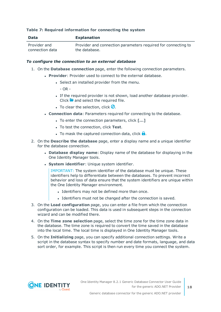#### **Table 7: Required information for connecting the system**

| <b>Data</b>     | <b>Explanation</b>                                            |
|-----------------|---------------------------------------------------------------|
| Provider and    | Provider and connection parameters required for connecting to |
| connection data | the database.                                                 |

#### *To configure the connection to an external database*

- 1. On the **Database connection** page, enter the following connection parameters.
	- **Provider:** Provider used to connect to the external database.
		- Select an installed provider from the menu.
			- $-$  OR  $-$
		- If the required provider is not shown, load another database provider. Click  $\blacksquare$  and select the required file.
		- To clear the selection, click  $\bigcirc$ .
	- <sup>l</sup> **Connection data**: Parameters required for connecting to the database.
		- **.** To enter the connection parameters, click  $\lceil ... \rceil$
		- **.** To test the connection, click Test.
		- **.** To mask the captured connection data, click  $\mathbf{\hat{a}}$ .
- 2. On the **Describe the database** page, enter a display name and a unique identifier for the database connection.
	- <sup>l</sup> **Database display name**: Display name of the database for displaying in the One Identity Manager tools.
	- **.** System *identifier*: Unique system identifier.

IMPORTANT: The system identifier of the database must be unique. These identifiers help to differentiate between the databases. To prevent incorrect behavior and loss of data ensure that the system identifiers are unique within the One Identity Manager environment.

- Identifiers may not be defined more than once.
- Identifiers must not be changed after the connection is saved.
- 3. On the **Load configuration** page, you can enter a file from which the connection configuration can be loaded. This data is used in subsequent steps in the connection wizard and can be modified there.
- 4. On the **Time zone selection** page, select the time zone for the time zone data in the database. The time zone is required to convert the time saved in the database into the local time. The local time is displayed in One Identity Manager tools.
- 5. On the **Initializing** page, you can specify additional connection settings. Write a script in the database syntax to specify number and date formats, language, and data sort order, for example. This script is then run every time you connect the system.

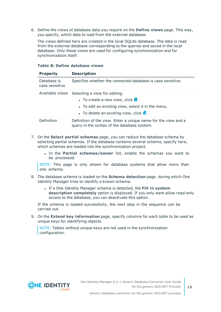6. Define the views of database data you require on the **Define views** page. This way, you specify, which data to load from the external database.

The views defined here are created in the local SQLite database. The data is read from the external database corresponding to the queries and saved in the local database. Only these views are used for configuring synchronization and for synchronization itself.

| <b>Property</b>               | <b>Description</b>                                                                                                                                                                                        |  |
|-------------------------------|-----------------------------------------------------------------------------------------------------------------------------------------------------------------------------------------------------------|--|
| Database is<br>case sensitive | Specifies whether the connected database is case sensitive.                                                                                                                                               |  |
|                               | Available views Selecting a view for editing.<br>• To create a new view, click $\mathbf{H}$ .<br>• To edit an existing view, select it in the menu.<br>• To delete an existing view, click $\mathbf{x}$ . |  |
| Definition                    | Definition of the view. Enter a unique name for the view and a<br>query in the syntax of the database system.                                                                                             |  |

#### **Table 8: Define database views**

- 7. On the **Select partial schemas** page, you can reduce the database schema by selecting partial schemas. If the database contains several schema, specify here, which schemas are loaded into the synchronization project.
	- <sup>l</sup> In the **Partial schemas/owner** list, enable the schemas you want to be processed.

NOTE: This page is only shown for database systems that allow more than one schema.

- 8. The database schema is loaded on the **Schema detection** page. during which One Identity Manager tries to identify a known schema.
	- <sup>l</sup> If a One Identity Manager schema is detected, the **Fill in system description completely** option is displayed. If you only want allow read-only access to the database, you can deactivate this option.

If the schema is loaded successfully, the next step in the sequence can be carried out.

9. On the **Extend key information** page, specify columns for each table to be used as unique keys for identifying objects.

NOTE: Tables without unique keys are not used in the synchronization configuration.

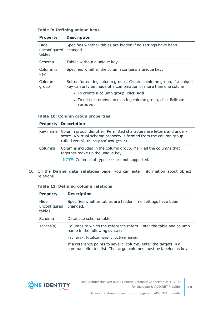#### **Table 9: Defining unique keys**

| <b>Property</b>                | <b>Description</b>                                                                                                                     |  |
|--------------------------------|----------------------------------------------------------------------------------------------------------------------------------------|--|
| Hide<br>unconfigured<br>tables | Specifies whether tables are hidden if no settings have been<br>changed.                                                               |  |
| Schema                         | Tables without a unique key.                                                                                                           |  |
| Column is<br>key               | Specifies whether the column contains a unique key.                                                                                    |  |
| Column<br>group                | Button for editing column groups. Create a column group, if a unique<br>key can only be made of a combination of more than one column. |  |
|                                | • To create a column group, click <b>Add</b> .                                                                                         |  |
|                                | • To edit or remove an existing column group, click Edit or<br>remove.                                                                 |  |

#### **Table 10: Column group properties**

|         | <b>Property Description</b>                                                                                                                                                                            |  |
|---------|--------------------------------------------------------------------------------------------------------------------------------------------------------------------------------------------------------|--|
|         | Key name Column group identifier. Permitted characters are letters and under-<br>score. A virtual schema property is formed from the column group<br>called vrtColumnGroup <column group="">.</column> |  |
| Columns | Columns included in the column group. Mark all the columns that<br>together make up the unique key.<br>NOTE: Columns of type Char are not supported.                                                   |  |

10. On the **Define data relations** page, you can enter information about object relations.

#### **Table 11: Defining column relations**

| <b>Property</b>                | <b>Description</b>                                                                                                                 |  |  |
|--------------------------------|------------------------------------------------------------------------------------------------------------------------------------|--|--|
| Hide<br>unconfigured<br>tables | Specifies whether tables are hidden if no settings have been<br>changed.                                                           |  |  |
| Schema                         | Database schema tables.                                                                                                            |  |  |
| Target(s)                      | Columns to which the reference refers. Enter the table and column<br>name in the following syntax:                                 |  |  |
|                                | <schema>.]<table name="">.<column name=""></column></table></schema>                                                               |  |  |
|                                | If a reference points to several column, enter the targets in a<br>comma delimited list. The target columns must be labeled as key |  |  |

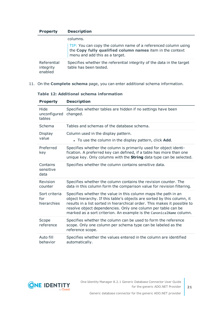| <b>Property</b>                     | <b>Description</b>                                                                                                                                                                      |  |  |
|-------------------------------------|-----------------------------------------------------------------------------------------------------------------------------------------------------------------------------------------|--|--|
|                                     | columns.                                                                                                                                                                                |  |  |
|                                     | $\sqrt{\frac{TIP}{TIP}}$ : You can copy the column name of a referenced column using the <b>Copy fully qualified column names</b> item in the context<br>menu and add this as a target. |  |  |
| Referential<br>integrity<br>enabled | Specifies whether the referential integrity of the data in the target<br>table has been tested.                                                                                         |  |  |

11. On the **Complete schema** page, you can enter additional schema information.

| Table 12: Additional schema information |  |  |  |  |  |
|-----------------------------------------|--|--|--|--|--|
|-----------------------------------------|--|--|--|--|--|

| <b>Property</b>                     | <b>Description</b>                                                                                                                                                                                                                                                                                                                                             |
|-------------------------------------|----------------------------------------------------------------------------------------------------------------------------------------------------------------------------------------------------------------------------------------------------------------------------------------------------------------------------------------------------------------|
| Hide<br>unconfigured<br>tables      | Specifies whether tables are hidden if no settings have been<br>changed.                                                                                                                                                                                                                                                                                       |
| Schema                              | Tables and schemas of the database schema.                                                                                                                                                                                                                                                                                                                     |
| Display<br>value                    | Column used in the display pattern.<br>• To use the column in the display pattern, click Add.                                                                                                                                                                                                                                                                  |
| Preferred<br>key                    | Specifies whether the column is primarily used for object identi-<br>fication. A preferred key can defined, if a table has more than one<br>unique key. Only columns with the <b>String</b> data type can be selected.                                                                                                                                         |
| Contains<br>sensitive<br>data       | Specifies whether the column contains sensitive data.                                                                                                                                                                                                                                                                                                          |
| Revision<br>counter                 | Specifies whether the column contains the revision counter. The<br>data in this column form the comparison value for revision filtering.                                                                                                                                                                                                                       |
| Sort criteria<br>for<br>hierarchies | Specifies whether the value in this column maps the path in an<br>object hierarchy. If this table's objects are sorted by this column, it<br>results in a list sorted in hierarchical order. This makes it possible to<br>resolve object dependencies. Only one column per table can be<br>marked as a sort criterion. An example is the CanonicalName column. |
| Scope<br>reference                  | Specifies whether the column can be used to form the reference<br>scope. Only one column per schema type can be labeled as the<br>reference scope.                                                                                                                                                                                                             |
| Auto fill<br>behavior               | Specifies whether the values entered in the column are identified<br>automatically.                                                                                                                                                                                                                                                                            |



**21**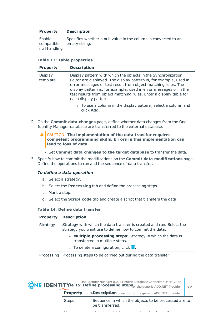#### **Property Description**

Enable compatible null handling Specifies whether a null value in the column is converted to an empty string.

#### **Table 13: Table properties**

| <b>Property</b>            | <b>Description</b>                                                                                                                                                                                                                                                                                                                                                       |
|----------------------------|--------------------------------------------------------------------------------------------------------------------------------------------------------------------------------------------------------------------------------------------------------------------------------------------------------------------------------------------------------------------------|
| <b>Display</b><br>template | Display pattern with which the objects in the Synchronization<br>Editor are displayed. The display pattern is, for example, used in<br>error messages or test result from object matching rules. The<br>display pattern is, for example, used in error messages or in the<br>test results from object matching rules. Enter a display table for<br>each display pattern. |
|                            | To use a solumn in the display pottern solect a solumn and                                                                                                                                                                                                                                                                                                               |

- To use a column in the display pattern, select a column and click **Add**.
- 12. On the **Commit data changes** page, define whether data changes from the One Identity Manager database are transferred to the external database.
	- CAUTION: **The implementation of the data transfer requires competent programming skills. Errors in this implementation can lead to loss of data.**
		- <sup>l</sup> Set **Commit data changes to the target database** to transfer the data.
- 13. Specify how to commit the modifications on the **Commit data modifications** page. Define the operations to run and the sequence of data transfer.

#### *To define a data operation*

- a. Select a strategy.
- b. Select the **Processing** tab and define the processing steps.
- c. Mark a step.
- d. Select the **Script code** tab and create a script that transfers the data.

#### **Table 14: Define data transfer**

|          | <b>Property Description</b><br>Strategy with which the data transfer is created and run. Select the<br>strategy you want use to define how to commit the data. |  |  |
|----------|----------------------------------------------------------------------------------------------------------------------------------------------------------------|--|--|
| Strategy |                                                                                                                                                                |  |  |
|          | • Multiple processing steps: Strategy in which the data is<br>transferred in multiple steps.                                                                   |  |  |
|          | • To delete a configuration, click $\blacksquare$ .                                                                                                            |  |  |
|          | Processing Processing steps to be carried out during the data transfer.                                                                                        |  |  |

| by <b>Quest</b> |              | One Identity Manager 8.2.1 Generic Database Connector User Guide<br><b>ONE IDENTITYIe 15: Define processing steps</b> <sub>or the generic ADO.NET Provider</sub> |  |
|-----------------|--------------|------------------------------------------------------------------------------------------------------------------------------------------------------------------|--|
| <b>Property</b> |              | GeDescription: connector for the generic ADO.NET provider                                                                                                        |  |
|                 | <b>Steps</b> | Sequence in which the objects to be processed are to<br>be transferred.                                                                                          |  |

View View to which the processing step is applied.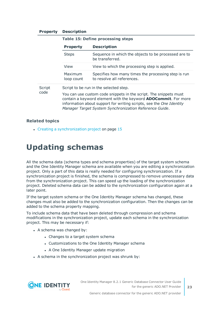#### **Property Description**

|                      | <b>Table 15: Define processing steps</b>                                                                                                                                                                                                                                     |                                                                                   |  |
|----------------------|------------------------------------------------------------------------------------------------------------------------------------------------------------------------------------------------------------------------------------------------------------------------------|-----------------------------------------------------------------------------------|--|
|                      | <b>Property</b>                                                                                                                                                                                                                                                              | <b>Description</b>                                                                |  |
| <b>Steps</b><br>View |                                                                                                                                                                                                                                                                              | Sequence in which the objects to be processed are to<br>be transferred.           |  |
|                      |                                                                                                                                                                                                                                                                              | View to which the processing step is applied.                                     |  |
|                      | Maximum<br>loop count                                                                                                                                                                                                                                                        | Specifies how many times the processing step is run<br>to resolve all references. |  |
| Script<br>code       | Script to be run in the selected step.                                                                                                                                                                                                                                       |                                                                                   |  |
|                      | You can use custom code snippets in the script. The snippets must<br>contain a keyword element with the keyword <b>ADOCommit</b> . For more<br>information about support for writing scripts, see the One Identity<br>Manager Target System Synchronization Reference Guide. |                                                                                   |  |

#### **Related topics**

<span id="page-22-0"></span> $\cdot$  Creating a [synchronization](#page-14-0) project on page 15

### **Updating schemas**

All the schema data (schema types and schema properties) of the target system schema and the One Identity Manager schema are available when you are editing a synchronization project. Only a part of this data is really needed for configuring synchronization. If a synchronization project is finished, the schema is compressed to remove unnecessary data from the synchronization project. This can speed up the loading of the synchronization project. Deleted schema data can be added to the synchronization configuration again at a later point.

If the target system schema or the One Identity Manager schema has changed, these changes must also be added to the synchronization configuration. Then the changes can be added to the schema property mapping.

To include schema data that have been deleted through compression and schema modifications in the synchronization project, update each schema in the synchronization project. This may be necessary if:

- $\bullet$  A schema was changed by:
	- Changes to a target system schema
	- Customizations to the One Identity Manager schema
	- A One Identity Manager update migration
- A schema in the synchronization project was shrunk by:

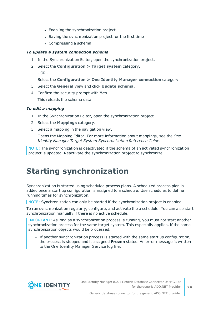- Enabling the synchronization project
- Saving the synchronization project for the first time
- $\bullet$  Compressing a schema

#### *To update a system connection schema*

- 1. In the Synchronization Editor, open the synchronization project.
- 2. Select the **Configuration > Target system** category.
	- OR -

#### Select the **Configuration > One Identity Manager connection** category.

- 3. Select the **General** view and click **Update schema**.
- 4. Confirm the security prompt with **Yes**.

This reloads the schema data.

#### *To edit a mapping*

- 1. In the Synchronization Editor, open the synchronization project.
- 2. Select the **Mappings** category.
- 3. Select a mapping in the navigation view.

Opens the Mapping Editor. For more information about mappings, see the *One Identity Manager Target System Synchronization Reference Guide*.

NOTE: The synchronization is deactivated if the schema of an activated synchronization project is updated. Reactivate the synchronization project to synchronize.

## <span id="page-23-0"></span>**Starting synchronization**

Synchronization is started using scheduled process plans. A scheduled process plan is added once a start up configuration is assigned to a schedule. Use schedules to define running times for synchronization.

NOTE: Synchronization can only be started if the synchronization project is enabled.

To run synchronization regularly, configure, and activate the a schedule. You can also start synchronization manually if there is no active schedule.

IMPORTANT: As long as a synchronization process is running, you must not start another synchronization process for the same target system. This especially applies, if the same synchronization objects would be processed.

If another synchronization process is started with the same start up configuration, the process is stopped and is assigned **Frozen** status. An error message is written to the One Identity Manager Service log file.

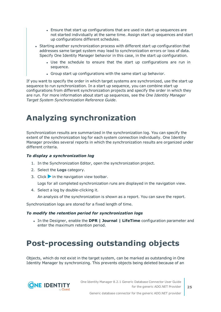- Ensure that start up configurations that are used in start up sequences are not started individually at the same time. Assign start up sequences and start up configurations different schedules.
- Starting another synchronization process with different start up configuration that addresses same target system may lead to synchronization errors or loss of data. Specify One Identity Manager behavior in this case, in the start up configuration.
	- Use the schedule to ensure that the start up configurations are run in sequence.
	- Group start up configurations with the same start up behavior.

If you want to specify the order in which target systems are synchronized, use the start up sequence to run synchronization. In a start up sequence, you can combine start up configurations from different synchronization projects and specify the order in which they are run. For more information about start up sequences, see the *One Identity Manager Target System Synchronization Reference Guide*.

## <span id="page-24-0"></span>**Analyzing synchronization**

Synchronization results are summarized in the synchronization log. You can specify the extent of the synchronization log for each system connection individually. One Identity Manager provides several reports in which the synchronization results are organized under different criteria.

#### *To display a synchronization log*

- 1. In the Synchronization Editor, open the synchronization project.
- 2. Select the **Logs** category.
- 3. Click in the navigation view toolbar.

Logs for all completed synchronization runs are displayed in the navigation view.

4. Select a log by double-clicking it.

An analysis of the synchronization is shown as a report. You can save the report.

Synchronization logs are stored for a fixed length of time.

#### *To modify the retention period for synchronization logs*

<sup>l</sup> In the Designer, enable the **DPR | Journal | LifeTime** configuration parameter and enter the maximum retention period.

## <span id="page-24-1"></span>**Post-processing outstanding objects**

Objects, which do not exist in the target system, can be marked as outstanding in One Identity Manager by synchronizing. This prevents objects being deleted because of an

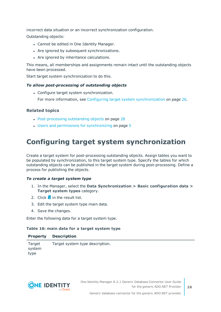incorrect data situation or an incorrect synchronization configuration.

Outstanding objects:

- Cannot be edited in One Identity Manager.
- Are ignored by subsequent synchronizations.
- Are ignored by inheritance calculations.

This means, all memberships and assignments remain intact until the outstanding objects have been processed.

Start target system synchronization to do this.

#### *To allow post-processing of outstanding objects*

• Configure target system synchronization.

For more information, see Configuring target system [synchronization](#page-25-0) on page 26.

#### **Related topics**

- [Post-processing](#page-27-0) outstanding objects on page 28
- Users and permissions for [synchronizing](#page-4-0) on page 5

### <span id="page-25-0"></span>**Configuring target system synchronization**

Create a target system for post-processing outstanding objects. Assign tables you want to be populated by synchronization, to this target system type. Specify the tables for which outstanding objects can be published in the target system during post-processing. Define a process for publishing the objects.

#### *To create a target system type*

- 1. In the Manager, select the **Data Synchronization > Basic configuration data > Target system types** category.
- 2. Click  $\mathbf{r}$  in the result list.
- 3. Edit the target system type main data.
- 4. Save the changes.

Enter the following data for a target system type.

#### **Table 16: main data for a target system type**

|                          | <b>Property Description</b>     |
|--------------------------|---------------------------------|
| Target<br>system<br>type | Target system type description. |



Generic database connector for the generic ADO.NET provider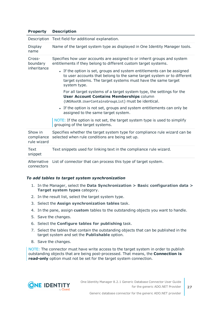#### **Property Description**

|                                      | Description Text field for additional explanation.                                                                                                                                                                               |  |  |
|--------------------------------------|----------------------------------------------------------------------------------------------------------------------------------------------------------------------------------------------------------------------------------|--|--|
| Display<br>name                      | Name of the target system type as displayed in One Identity Manager tools.                                                                                                                                                       |  |  |
| Cross-<br>boundary<br>inheritance    | Specifies how user accounts are assigned to or inherit groups and system<br>entitlements if they belong to different custom target systems.                                                                                      |  |  |
|                                      | • If the option is set, groups and system entitlements can be assigned<br>to user accounts that belong to the same target system or to different<br>target systems. The target systems must have the same target<br>system type. |  |  |
|                                      | For all target systems of a target system type, the settings for the<br><b>User Account Contains Memberships column</b><br>(UNSRootB.UserContainsGroupList) must be identical.                                                   |  |  |
|                                      | • If the option is not set, groups and system entitlements can only be<br>assigned to the same target system.                                                                                                                    |  |  |
|                                      | NOTE: If the option is not set, the target system type is used to simplify<br>grouping of the target systems.                                                                                                                    |  |  |
| Show in<br>compliance<br>rule wizard | Specifies whether the target system type for compliance rule wizard can be<br>selected when rule conditions are being set up.                                                                                                    |  |  |
| Text<br>snippet                      | Text snippets used for linking text in the compliance rule wizard.                                                                                                                                                               |  |  |
|                                      | Alternative List of connector that can process this type of target system.                                                                                                                                                       |  |  |

connectors

#### *To add tables to target system synchronization*

- 1. In the Manager, select the **Data Synchronization > Basic configuration data > Target system types** category.
- 2. In the result list, select the target system type.
- 3. Select the **Assign synchronization tables** task.
- 4. In the pane, assign **custom** tables to the outstanding objects you want to handle.
- 5. Save the changes.
- 6. Select the **Configure tables for publishing** task.
- 7. Select the tables that contain the outstanding objects that can be published in the target system and set the **Publishable** option.
- 8. Save the changes.

NOTE: The connector must have write access to the target system in order to publish outstanding objects that are being post-processed. That means, the **Connection is read-only** option must not be set for the target system connection.



Generic database connector for the generic ADO.NET provider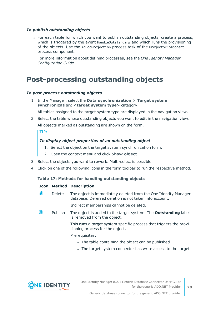#### *To publish outstanding objects*

• For each table for which you want to publish outstanding objects, create a process, which is triggered by the event HandleOutstanding and which runs the provisioning of the objects. Use the AdHocProjection process task of the ProjectorComponent process component.

For more information about defining processes, see the *One Identity Manager Configuration Guide*.

### <span id="page-27-0"></span>**Post-processing outstanding objects**

#### *To post-process outstanding objects*

1. In the Manager, select the **Data synchronization > Target system synchronization: <target system type>** category.

All tables assigned to the target system type are displayed in the navigation view.

2. Select the table whose outstanding objects you want to edit in the navigation view. All objects marked as outstanding are shown on the form.

TIP:

#### *To display object properties of an outstanding object*

- 1. Select the object on the target system synchronization form.
- 2. Open the context menu and click **Show object**.
- 3. Select the objects you want to rework. Multi-select is possible.
- 4. Click on one of the following icons in the form toolbar to run the respective method.

#### **Table 17: Methods for handling outstanding objects**

#### **Icon Method Description**

| Г× | Delete  | The object is immediately deleted from the One Identity Manager<br>database. Deferred deletion is not taken into account.<br>Indirect memberships cannot be deleted. |
|----|---------|----------------------------------------------------------------------------------------------------------------------------------------------------------------------|
| E. | Publish | The object is added to the target system. The <b>Outstanding</b> label<br>is removed from the object.                                                                |
|    |         | This runs a target system specific process that triggers the provi-<br>sioning process for the object.                                                               |
|    |         | Prerequisites:                                                                                                                                                       |
|    |         | • The table containing the object can be published.                                                                                                                  |
|    |         | • The target system connector has write access to the target                                                                                                         |

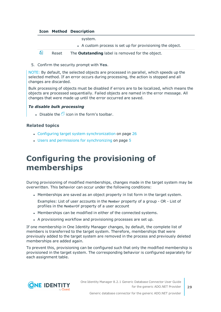#### **Icon Method Description**

system.

• A custom process is set up for provisioning the object.



5. Confirm the security prompt with **Yes**.

NOTE: By default, the selected objects are processed in parallel, which speeds up the selected method. If an error occurs during processing, the action is stopped and all changes are discarded.

Bulk processing of objects must be disabled if errors are to be localized, which means the objects are processed sequentially. Failed objects are named in the error message. All changes that were made up until the error occurred are saved.

#### *To disable bulk processing*

. Disable the  $\Box$  icon in the form's toolbar.

#### **Related topics**

- Configuring target system [synchronization](#page-25-0) on page 26
- Users and permissions for [synchronizing](#page-4-0) on page 5

## <span id="page-28-0"></span>**Configuring the provisioning of memberships**

During provisioning of modified memberships, changes made in the target system may be overwritten. This behavior can occur under the following conditions:

• Memberships are saved as an object property in list form in the target system.

Examples: List of user accounts in the Member property of a group - OR - List of profiles in the MemberOf property of a user account

- Memberships can be modified in either of the connected systems.
- A provisioning workflow and provisioning processes are set up.

If one membership in One Identity Manager changes, by default, the complete list of members is transferred to the target system. Therefore, memberships that were previously added to the target system are removed in the process and previously deleted memberships are added again.

To prevent this, provisioning can be configured such that only the modified membership is provisioned in the target system. The corresponding behavior is configured separately for each assignment table.

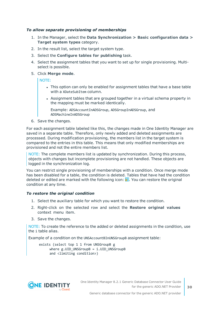#### *To allow separate provisioning of memberships*

- 1. In the Manager, select the **Data Synchronization > Basic configuration data > Target system types** category.
- 2. In the result list, select the target system type.
- 3. Select the **Configure tables for publishing** task.
- 4. Select the assignment tables that you want to set up for single provisioning. Multiselect is possible.
- 5. Click **Merge mode**.

NOTE:

- This option can only be enabled for assignment tables that have a base table with a XDateSubItem column.
- Assignment tables that are grouped together in a virtual schema property in the mapping must be marked identically.

Example: ADSAccountInADSGroup, ADSGroupInADSGroup, and ADSMachineInADSGroup

6. Save the changes.

For each assignment table labeled like this, the changes made in One Identity Manager are saved in a separate table. Therefore, only newly added and deleted assignments are processed. During modification provisioning, the members list in the target system is compared to the entries in this table. This means that only modified memberships are provisioned and not the entire members list.

NOTE: The complete members list is updated by synchronization. During this process, objects with changes but incomplete provisioning are not handled. These objects are logged in the synchronization log.

You can restrict single provisioning of memberships with a condition. Once merge mode has been disabled for a table, the condition is deleted. Tables that have had the condition deleted or edited are marked with the following icon:  $\mathbb{E}$ . You can restore the original condition at any time.

#### *To restore the original condition*

- 1. Select the auxiliary table for which you want to restore the condition.
- 2. Right-click on the selected row and select the **Restore original values** context menu item.
- 3. Save the changes.

NOTE: To create the reference to the added or deleted assignments in the condition, use the i table alias.

Example of a condition on the UNSAccountBInUNSGroupB assignment table:

exists (select top 1 1 from UNSGroupB g where g.UID\_UNSGroupB = i.UID\_UNSGroupB and <limiting condition>)

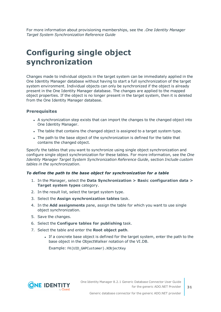For more information about provisioning memberships, see the .*One Identity Manager Target System Synchronization Reference Guide*

## <span id="page-30-0"></span>**Configuring single object synchronization**

Changes made to individual objects in the target system can be immediately applied in the One Identity Manager database without having to start a full synchronization of the target system environment. Individual objects can only be synchronized if the object is already present in the One Identity Manager database. The changes are applied to the mapped object properties. If the object is no longer present in the target system, then it is deleted from the One Identity Manager database.

#### **Prerequisites**

- A synchronization step exists that can import the changes to the changed object into One Identity Manager.
- The table that contains the changed object is assigned to a target system type.
- The path to the base object of the synchronization is defined for the table that contains the changed object.

Specify the tables that you want to synchronize using single object synchronization and configure single object synchronization for these tables. For more information, see the *One Identity Manager Target System Synchronization Reference Guide*, section *Include custom tables in the synchronization*.

#### *To define the path to the base object for synchronization for a table*

- 1. In the Manager, select the **Data Synchronization > Basic configuration data > Target system types** category.
- 2. In the result list, select the target system type.
- 3. Select the **Assign synchronization tables** task.
- 4. In the **Add assignments** pane, assign the table for which you want to use single object synchronization.
- 5. Save the changes.
- 6. Select the **Configure tables for publishing** task.
- 7. Select the table and enter the **Root object path**.
	- If a concrete base object is defined for the target system, enter the path to the base object in the ObjectWalker notation of the VI.DB.

Example: FK(UID GAPCustomer).XObjectKey



Generic database connector for the generic ADO.NET provider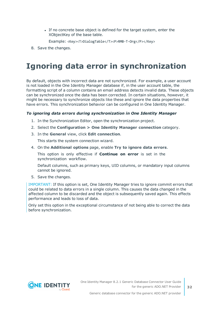• If no concrete base object is defined for the target system, enter the XObjectKey of the base table.

Example: <Key><T>DialogTable</T><P>RMB-T-Org</P></Key>

<span id="page-31-0"></span>8. Save the changes.

## **Ignoring data error in synchronization**

By default, objects with incorrect data are not synchronized. For example, a user account is not loaded in the One Identity Manager database if, in the user account table, the formatting script of a column contains an email address detects invalid data. These objects can be synchronized once the data has been corrected. In certain situations, however, it might be necessary to synchronize objects like these and ignore the data properties that have errors. This synchronization behavior can be configured in One Identity Manager.

#### *To ignoring data errors during synchronization in One Identity Manager*

- 1. In the Synchronization Editor, open the synchronization project.
- 2. Select the **Configuration > One Identity Manager connection** category.
- 3. In the **General** view, click **Edit connection**.

This starts the system connection wizard.

4. On the **Additional options** page, enable **Try to ignore data errors**.

This option is only effective if **Continue on error** is set in the synchronization workflow.

Default columns, such as primary keys, UID columns, or mandatory input columns cannot be ignored.

5. Save the changes.

IMPORTANT: If this option is set, One Identity Manager tries to ignore commit errors that could be related to data errors in a single column. This causes the data changed in the affected column to be discarded and the object is subsequently saved again. This effects performance and leads to loss of data.

Only set this option in the exceptional circumstance of not being able to correct the data before synchronization.

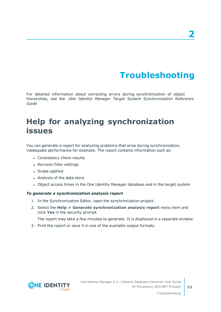# **Troubleshooting**

<span id="page-32-0"></span>For detailed information about correcting errors during synchronization of object hierarchies, see the .*One Identity Manager Target System Synchronization Reference Guide*

## <span id="page-32-1"></span>**Help for analyzing synchronization issues**

You can generate a report for analyzing problems that arise during synchronization, inadequate performance for example. The report contains information such as:

- Consistency check results
- Revision filter settings
- Scope applied
- Analysis of the data store
- Object access times in the One Identity Manager database and in the target system

#### *To generate a synchronization analysis report*

- 1. In the Synchronization Editor, open the synchronization project.
- 2. Select the **Help > Generate synchronization analysis report** menu item and click **Yes** in the security prompt.

The report may take a few minutes to generate. It is displayed in a separate window.

3. Print the report or save it in one of the available output formats.

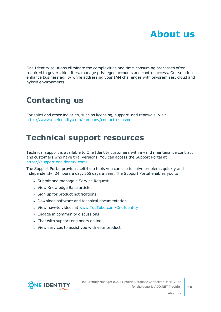<span id="page-33-0"></span>One Identity solutions eliminate the complexities and time-consuming processes often required to govern identities, manage privileged accounts and control access. Our solutions enhance business agility while addressing your IAM challenges with on-premises, cloud and hybrid environments.

## <span id="page-33-1"></span>**Contacting us**

For sales and other inquiries, such as licensing, support, and renewals, visit <https://www.oneidentity.com/company/contact-us.aspx>.

## <span id="page-33-2"></span>**Technical support resources**

Technical support is available to One Identity customers with a valid maintenance contract and customers who have trial versions. You can access the Support Portal at [https://support.oneidentity.com/.](https://support.oneidentity.com/)

The Support Portal provides self-help tools you can use to solve problems quickly and independently, 24 hours a day, 365 days a year. The Support Portal enables you to:

- Submit and manage a Service Request
- View Knowledge Base articles
- Sign up for product notifications
- Download software and technical documentation
- View how-to videos at [www.YouTube.com/OneIdentity](http://www.youtube.com/OneIdentity)
- Engage in community discussions
- Chat with support engineers online
- View services to assist you with your product



About us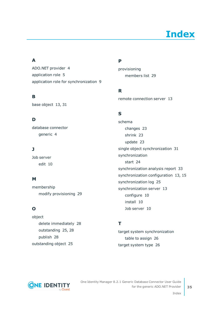# **Index**

### <span id="page-34-0"></span>**A**

ADO.NET provider [4](#page-3-0) application role [5](#page-4-0) application role for synchronization [9](#page-8-0)

### **B**

base object [13](#page-12-0), [31](#page-30-0)

### **D**

database connector generic [4](#page-3-0)

### **J**

Job server edit [10](#page-9-0)

### **M**

membership modify provisioning [29](#page-28-0)

### **O**

object delete immediately [28](#page-27-0) outstanding [25](#page-24-1), [28](#page-27-0) publish [28](#page-27-0) outstanding object [25](#page-24-1)

### **P**

provisioning members list [29](#page-28-0)

### **R**

remote connection server [13](#page-12-0)

### **S**

schema changes [23](#page-22-0) shrink [23](#page-22-0) update [23](#page-22-0) single object synchronization [31](#page-30-0) synchronization start [24](#page-23-0) synchronization analysis report [33](#page-32-1) synchronization configuration [13](#page-12-0), [15](#page-14-0) synchronization log [25](#page-24-0) synchronization server [13](#page-12-0) configure [10](#page-9-0) install [10](#page-9-0) Job server [10](#page-9-0)

### **T**

target system synchronization table to assign [26](#page-25-0) target system type [26](#page-25-0)



One Identity Manager 8.2.1 Generic Database Connector User Guide for the generic ADO.NET Provider

Index